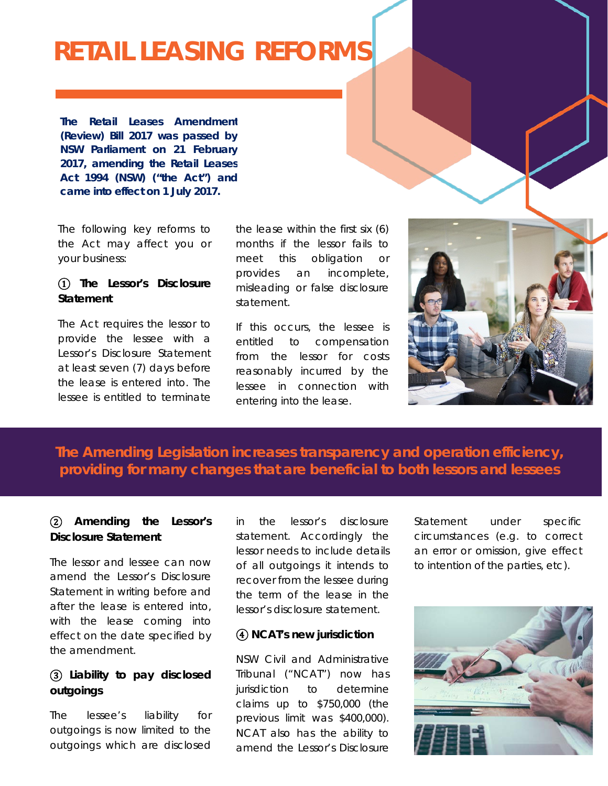# **RETAIL LEASING REFORMS**

**The Retail Leases Amendment (Review) Bill 2017 was passed by NSW Parliament on 21 February 2017, amending the** *Retail Leases Act 1994* **(NSW) ("the Act") and came into effect on 1 July 2017.**

The following key reforms to the Act may affect you or your business:

### ① **The Lessor's Disclosure Statement**

The Act requires the lessor to provide the lessee with a Lessor's Disclosure Statement at least seven (7) days before the lease is entered into. The lessee is entitled to terminate the lease within the first six (6) months if the lessor fails to meet this obligation or provides an incomplete, misleading or false disclosure statement.

If this occurs, the lessee is entitled to compensation from the lessor for costs reasonably incurred by the lessee in connection with entering into the lease.



*The Amending Legislation increases transparency and operation efficiency, providing for many changes that are beneficial to both lessors and lessees*

#### ② **Amending the Lessor's Disclosure Statement**

The lessor and lessee can now amend the Lessor's Disclosure Statement in writing before and after the lease is entered into, with the lease coming into effect on the date specified by the amendment.

#### ③ **Liability to pay disclosed outgoings**

The lessee's liability for outgoings is now limited to the outgoings which are disclosed

in the lessor's disclosure statement. Accordingly the lessor needs to include details of all outgoings it intends to recover from the lessee during the term of the lease in the lessor's disclosure statement.

#### ④ **NCAT's new jurisdiction**

NSW Civil and Administrative Tribunal ("NCAT") now has jurisdiction to determine claims up to \$750,000 (the previous limit was \$400,000). NCAT also has the ability to amend the Lessor's Disclosure Statement under specific circumstances (e.g. to correct an error or omission, give effect to intention of the parties, etc).

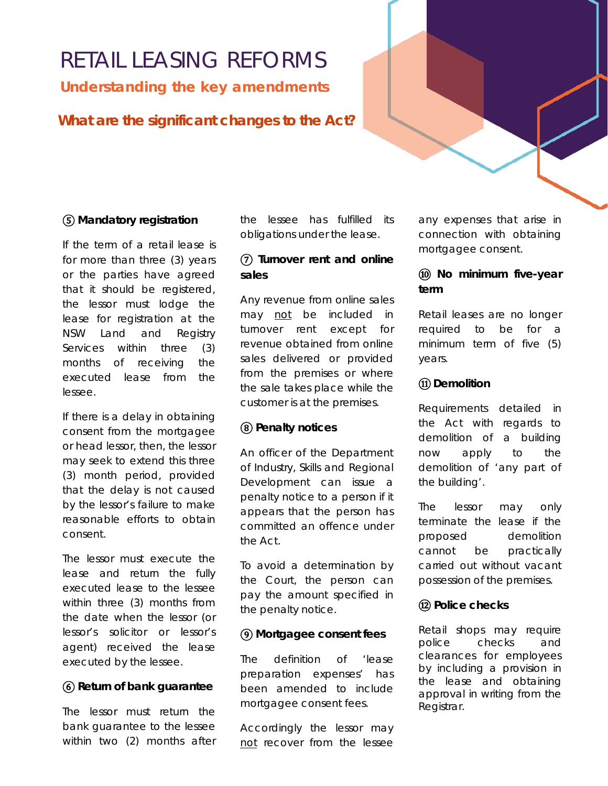## RETAIL LEASING REFORMS

**Understanding the key amendments**

## **What are the significant changes to the Act?**

#### ⑤ **Mandatory registration**

If the term of a retail lease is for more than three (3) years or the parties have agreed that it should be registered, the lessor must lodge the lease for registration at the NSW Land and Registry Services within three (3) months of receiving the executed lease from the lessee.

If there is a delay in obtaining consent from the mortgagee or head lessor, then, the lessor may seek to extend this three (3) month period, provided that the delay is not caused by the lessor's failure to make reasonable efforts to obtain consent.

The lessor must execute the lease and return the fully executed lease to the lessee within three (3) months from the date when the lessor (or lessor's solicitor or lessor's agent) received the lease executed by the lessee.

#### ⑥ **Return of bank guarantee**

The lessor must return the bank guarantee to the lessee within two (2) months after

the lessee has fulfilled its obligations under the lease.

#### ⑦ **Turnover rent and online sales**

Any revenue from online sales may not be included in turnover rent except for revenue obtained from online sales delivered or provided from the premises or where the sale takes place while the customer is at the premises.

#### ⑧ **Penalty notices**

An officer of the Department of Industry, Skills and Regional Development can issue a penalty notice to a person if it appears that the person has committed an offence under the Act.

To avoid a determination by the Court, the person can pay the amount specified in the penalty notice.

#### ⑨ **Mortgagee consent fees**

The definition of 'lease preparation expenses' has been amended to include mortgagee consent fees.

Accordingly the lessor may not recover from the lessee

any expenses that arise in connection with obtaining mortgagee consent.

#### ⑩ **No minimum five-year term**

Retail leases are no longer required to be for a minimum term of five (5) years.

#### ⑪**Demolition**

Requirements detailed in the Act with regards to demolition of a building now apply to the demolition of 'any part of the building'.

The lessor may only terminate the lease if the proposed demolition cannot be practically carried out without vacant possession of the premises.

#### ⑫ **Police checks**

Retail shops may require police checks and clearances for employees by including a provision in the lease and obtaining approval in writing from the Registrar.